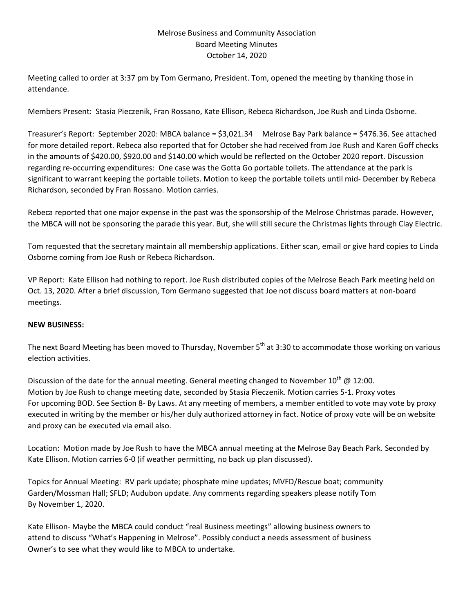## Melrose Business and Community Association Board Meeting Minutes October 14, 2020

Meeting called to order at 3:37 pm by Tom Germano, President. Tom, opened the meeting by thanking those in attendance.

Members Present: Stasia Pieczenik, Fran Rossano, Kate Ellison, Rebeca Richardson, Joe Rush and Linda Osborne.

Treasurer's Report: September 2020: MBCA balance = \$3,021.34 Melrose Bay Park balance = \$476.36. See attached for more detailed report. Rebeca also reported that for October she had received from Joe Rush and Karen Goff checks in the amounts of \$420.00, \$920.00 and \$140.00 which would be reflected on the October 2020 report. Discussion regarding re-occurring expenditures: One case was the Gotta Go portable toilets. The attendance at the park is significant to warrant keeping the portable toilets. Motion to keep the portable toilets until mid- December by Rebeca Richardson, seconded by Fran Rossano. Motion carries.

Rebeca reported that one major expense in the past was the sponsorship of the Melrose Christmas parade. However, the MBCA will not be sponsoring the parade this year. But, she will still secure the Christmas lights through Clay Electric.

Tom requested that the secretary maintain all membership applications. Either scan, email or give hard copies to Linda Osborne coming from Joe Rush or Rebeca Richardson.

VP Report: Kate Ellison had nothing to report. Joe Rush distributed copies of the Melrose Beach Park meeting held on Oct. 13, 2020. After a brief discussion, Tom Germano suggested that Joe not discuss board matters at non-board meetings.

## **NEW BUSINESS:**

The next Board Meeting has been moved to Thursday, November 5<sup>th</sup> at 3:30 to accommodate those working on various election activities.

Discussion of the date for the annual meeting. General meeting changed to November  $10^{th}$  @ 12:00. Motion by Joe Rush to change meeting date, seconded by Stasia Pieczenik. Motion carries 5-1. Proxy votes For upcoming BOD. See Section 8- By Laws. At any meeting of members, a member entitled to vote may vote by proxy executed in writing by the member or his/her duly authorized attorney in fact. Notice of proxy vote will be on website and proxy can be executed via email also.

Location: Motion made by Joe Rush to have the MBCA annual meeting at the Melrose Bay Beach Park. Seconded by Kate Ellison. Motion carries 6-0 (if weather permitting, no back up plan discussed).

Topics for Annual Meeting: RV park update; phosphate mine updates; MVFD/Rescue boat; community Garden/Mossman Hall; SFLD; Audubon update. Any comments regarding speakers please notify Tom By November 1, 2020.

Kate Ellison- Maybe the MBCA could conduct "real Business meetings" allowing business owners to attend to discuss "What's Happening in Melrose". Possibly conduct a needs assessment of business Owner's to see what they would like to MBCA to undertake.